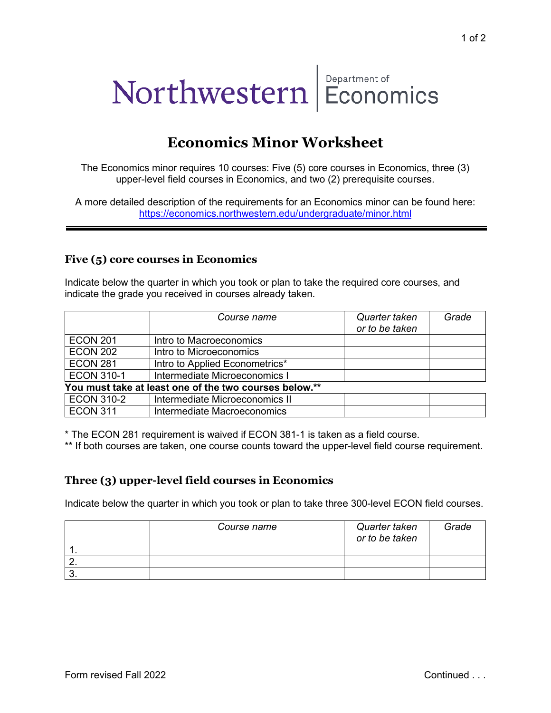# Northwestern Department of<br>**Economics**

# **Economics Minor Worksheet**

The Economics minor requires 10 courses: Five (5) core courses in Economics, three (3) upper-level field courses in Economics, and two (2) prerequisite courses.

A more detailed description of the requirements for an Economics minor can be found here: <https://economics.northwestern.edu/undergraduate/minor.html>

#### **Five (5) core courses in Economics**

Indicate below the quarter in which you took or plan to take the required core courses, and indicate the grade you received in courses already taken.

|                                                        | <i>Course name</i>             | Quarter taken<br>or to be taken | Grade |  |  |
|--------------------------------------------------------|--------------------------------|---------------------------------|-------|--|--|
| <b>ECON 201</b>                                        | Intro to Macroeconomics        |                                 |       |  |  |
| <b>ECON 202</b>                                        | Intro to Microeconomics        |                                 |       |  |  |
| <b>ECON 281</b>                                        | Intro to Applied Econometrics* |                                 |       |  |  |
| <b>ECON 310-1</b>                                      | Intermediate Microeconomics I  |                                 |       |  |  |
| You must take at least one of the two courses below.** |                                |                                 |       |  |  |
| <b>ECON 310-2</b>                                      | Intermediate Microeconomics II |                                 |       |  |  |
| <b>ECON 311</b>                                        | Intermediate Macroeconomics    |                                 |       |  |  |

\* The ECON 281 requirement is waived if ECON 381-1 is taken as a field course.

\*\* If both courses are taken, one course counts toward the upper-level field course requirement.

#### **Three (3) upper-level field courses in Economics**

Indicate below the quarter in which you took or plan to take three 300-level ECON field courses.

| Course name | Quarter taken<br>or to be taken | Grade |
|-------------|---------------------------------|-------|
|             |                                 |       |
|             |                                 |       |
|             |                                 |       |